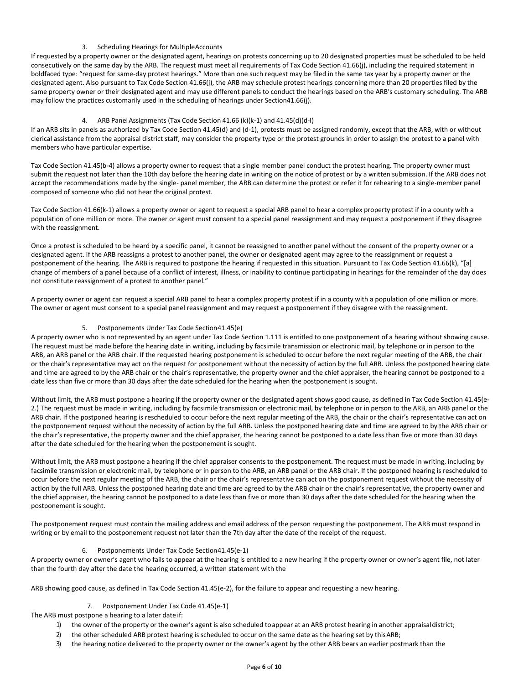# 3. Scheduling Hearings for MultipleAccounts

If requested by a property owner or the designated agent, hearings on protests concerning up to 20 designated properties must be scheduled to be held consecutively on the same day by the ARB. The request must meet all requirements of Tax Code Section 41.66(j), including the required statement in boldfaced type: "request for same-day protest hearings." More than one such request may be filed in the same tax year by a property owner or the designated agent. Also pursuant to Tax Code Section 41.66(j), the ARB may schedule protest hearings concerning more than 20 properties filed by the same property owner or their designated agent and may use different panels to conduct the hearings based on the ARB's customary scheduling. The ARB may follow the practices customarily used in the scheduling of hearings under Section41.66(j).

#### 4. ARB PanelAssignments (Tax Code Section 41.66 (k)(k-1) and 41.45(d)(d-I)

If an ARB sits in panels as authorized by Tax Code Section 41.45(d) and (d-1), protests must be assigned randomly, except that the ARB, with or without clerical assistance from the appraisal district staff, may consider the property type or the protest grounds in order to assign the protest to a panel with members who have particular expertise.

Tax Code Section 41.45(b-4) allows a property owner to request that a single member panel conduct the protest hearing. The property owner must submit the request not later than the 10th day before the hearing date in writing on the notice of protest or by a written submission. If the ARB does not accept the recommendations made by the single- panel member, the ARB can determine the protest or refer it for rehearing to a single-member panel composed of someone who did not hear the original protest.

Tax Code Section 41.66(k-1) allows a property owner or agent to request a special ARB panel to hear a complex property protest if in a county with a population of one million or more. The owner or agent must consent to a special panel reassignment and may request a postponement if they disagree with the reassignment.

Once a protest is scheduled to be heard by a specific panel, it cannot be reassigned to another panel without the consent of the property owner or a designated agent. If the ARB reassigns a protest to another panel, the owner or designated agent may agree to the reassignment or request a postponement of the hearing. The ARB is required to postpone the hearing if requested in this situation. Pursuant to Tax Code Section 41.66(k), "[a] change of members of a panel because of a conflict of interest, illness, or inability to continue participating in hearings for the remainder of the day does not constitute reassignment of a protest to another panel."

A property owner or agent can request a special ARB panel to hear a complex property protest if in a county with a population of one million or more. The owner or agent must consent to a special panel reassignment and may request a postponement if they disagree with the reassignment.

#### 5. Postponements Under Tax Code Section 41.45(e)

A property owner who is not represented by an agent under Tax Code Section 1.111 is entitled to one postponement of a hearing without showing cause. The request must be made before the hearing date in writing, including by facsimile transmission or electronic mail, by telephone or in person to the ARB, an ARB panel or the ARB chair. If the requested hearing postponement is scheduled to occur before the next regular meeting of the ARB, the chair or the chair's representative may act on the request for postponement without the necessity of action by the full ARB. Unless the postponed hearing date and time are agreed to by the ARB chair or the chair's representative, the property owner and the chief appraiser, the hearing cannot be postponed to a date less than five or more than 30 days after the date scheduled for the hearing when the postponement is sought.

Without limit, the ARB must postpone a hearing if the property owner or the designated agent shows good cause, as defined in Tax Code Section 41.45(e-2.) The request must be made in writing, including by facsimile transmission or electronic mail, by telephone or in person to the ARB, an ARB panel or the ARB chair. If the postponed hearing is rescheduled to occur before the next regular meeting of the ARB, the chair or the chair's representative can act on the postponement request without the necessity of action by the full ARB. Unless the postponed hearing date and time are agreed to by the ARB chair or the chair's representative, the property owner and the chief appraiser, the hearing cannot be postponed to a date less than five or more than 30 days after the date scheduled for the hearing when the postponement is sought.

Without limit, the ARB must postpone a hearing if the chief appraiser consents to the postponement. The request must be made in writing, including by facsimile transmission or electronic mail, by telephone or in person to the ARB, an ARB panel or the ARB chair. If the postponed hearing is rescheduled to occur before the next regular meeting of the ARB, the chair or the chair's representative can act on the postponement request without the necessity of action by the full ARB. Unless the postponed hearing date and time are agreed to by the ARB chair or the chair's representative, the property owner and the chief appraiser, the hearing cannot be postponed to a date less than five or more than 30 days after the date scheduled for the hearing when the postponement is sought.

The postponement request must contain the mailing address and email address of the person requesting the postponement. The ARB must respond in writing or by email to the postponement request not later than the 7th day after the date of the receipt of the request.

#### 6. Postponements Under Tax Code Section 41.45(e-1)

A property owner or owner's agent who fails to appear at the hearing is entitled to a new hearing if the property owner or owner's agent file, not later than the fourth day after the date the hearing occurred, a written statement with the

ARB showing good cause, as defined in Tax Code Section 41.45(e-2), for the failure to appear and requesting a new hearing.

#### 7. Postponement Under Tax Code 41.45(e-1)

The ARB must postpone a hearing to a later date if:

- 1) the owner of the property or the owner's agent is also scheduled to appear at an ARB protest hearing in another appraisaldistrict;
- 2) the other scheduled ARB protest hearing is scheduled to occur on the same date as the hearing set by thisARB;
- 3) the hearing notice delivered to the property owner or the owner's agent by the other ARB bears an earlier postmark than the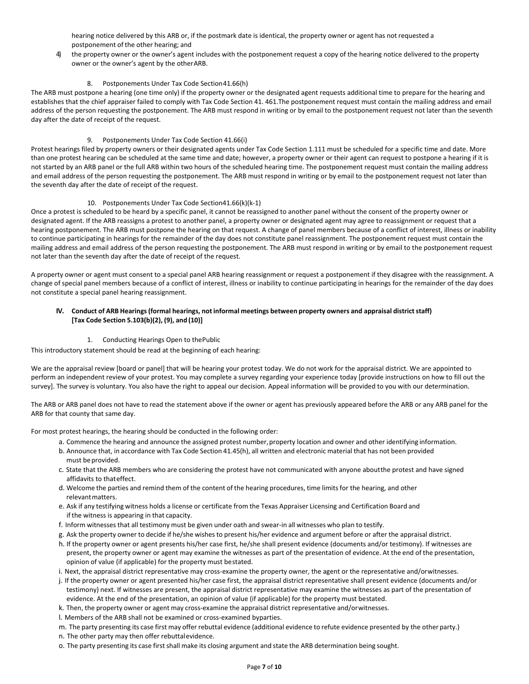hearing notice delivered by this ARB or, if the postmark date is identical, the property owner or agent has not requested a postponement of the other hearing; and

4) the property owner or the owner's agent includes with the postponement request a copy of the hearing notice delivered to the property owner or the owner's agent by the otherARB.

## 8. Postponements Under Tax Code Section 41.66(h)

The ARB must postpone a hearing (one time only) if the property owner or the designated agent requests additional time to prepare for the hearing and establishes that the chief appraiser failed to comply with Tax Code Section 41. 461.The postponement request must contain the mailing address and email address of the person requesting the postponement. The ARB must respond in writing or by email to the postponement request not later than the seventh day after the date of receipt of the request.

#### 9. Postponements Under Tax Code Section 41.66(i)

Protest hearings filed by property owners or their designated agents under Tax Code Section 1.111 must be scheduled for a specific time and date. More than one protest hearing can be scheduled at the same time and date; however, a property owner or their agent can request to postpone a hearing if it is not started by an ARB panel or the full ARB within two hours of the scheduled hearing time. The postponement request must contain the mailing address and email address of the person requesting the postponement. The ARB must respond in writing or by email to the postponement request not later than the seventh day after the date of receipt of the request.

#### 10. Postponements Under Tax Code Section 41.66(k)(k-1)

Once a protest is scheduled to be heard by a specific panel, it cannot be reassigned to another panel without the consent of the property owner or designated agent. If the ARB reassigns a protest to another panel, a property owner or designated agent may agree to reassignment or request that a hearing postponement. The ARB must postpone the hearing on that request. A change of panel members because of a conflict of interest, illness or inability to continue participating in hearings for the remainder of the day does not constitute panel reassignment. The postponement request must contain the mailing address and email address of the person requesting the postponement. The ARB must respond in writing or by email to the postponement request not later than the seventh day after the date of receipt of the request.

A property owner or agent must consent to a special panel ARB hearing reassignment or request a postponement if they disagree with the reassignment. A change of special panel members because of a conflict of interest, illness or inability to continue participating in hearings for the remainder of the day does not constitute a special panel hearing reassignment.

#### **IV. Conduct of ARB Hearings(formal hearings, not informal meetings between property owners and appraisal districtstaff) [Tax Code Section 5.103(b)(2), (9), and (10)]**

#### 1. Conducting Hearings Open to thePublic

This introductory statement should be read at the beginning of each hearing:

We are the appraisal review [board or panel] that will be hearing your protest today. We do not work for the appraisal district. We are appointed to perform an independent review of your protest. You may complete a survey regarding your experience today [provide instructions on how to fill out the survey]. The survey is voluntary. You also have the right to appeal our decision. Appeal information will be provided to you with our determination.

The ARB or ARB panel does not have to read the statement above if the owner or agent has previously appeared before the ARB or any ARB panel for the ARB for that county that same day.

For most protest hearings, the hearing should be conducted in the following order:

- a. Commence the hearing and announce the assigned protest number, property location and owner and other identifying information.
- b. Announce that, in accordance with Tax Code Section 41.45(h), all written and electronic material that has not been provided must beprovided.
- c. State that the ARB members who are considering the protest have not communicated with anyone aboutthe protest and have signed affidavits to thateffect.
- d. Welcome the parties and remind them of the content of the hearing procedures, time limitsfor the hearing, and other relevantmatters.
- e. Ask if any testifying witness holds a license or certificate from the Texas Appraiser Licensing and Certification Board and if the witness is appearing in that capacity.
- f. Inform witnesses that all testimony must be given under oath and swear-in all witnesses who plan to testify.
- g. Ask the property owner to decide if he/she wishesto present his/her evidence and argument before or after the appraisal district.
- h. If the property owner or agent presents his/her case first, he/she shall present evidence (documents and/or testimony). If witnesses are present, the property owner or agent may examine the witnesses as part of the presentation of evidence. At the end of the presentation, opinion of value (if applicable) for the property must bestated.
- i. Next, the appraisal district representative may cross-examine the property owner, the agent or the representative and/orwitnesses.
- j. If the property owner or agent presented his/her case first, the appraisal district representative shall present evidence (documents and/or testimony) next. If witnesses are present, the appraisal district representative may examine the witnesses as part of the presentation of evidence. At the end of the presentation, an opinion of value (if applicable) for the property must bestated.
- k. Then, the property owner or agent may cross-examine the appraisal district representative and/orwitnesses.
- l. Members of the ARB shall not be examined or cross-examined byparties.

m. The party presenting its case first may offer rebuttal evidence (additional evidence to refute evidence presented by the other party.) n. The other party may then offer rebuttalevidence.

o. The party presenting its case first shall make its closing argument and state the ARB determination being sought.

# **Page 7 of 12**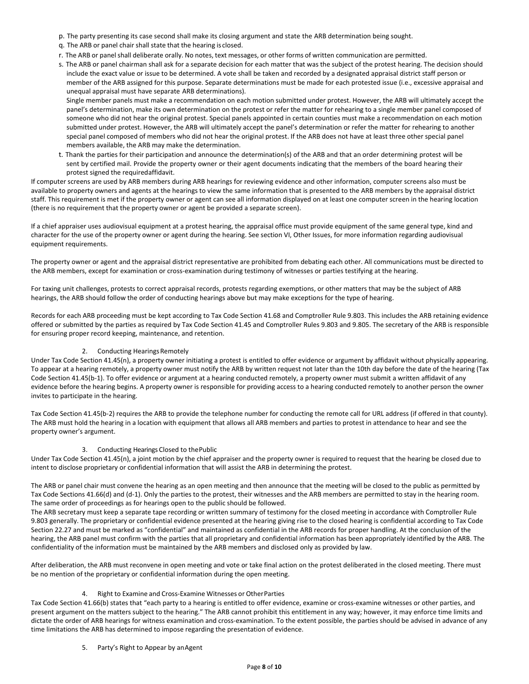- p. The party presenting its case second shall make its closing argument and state the ARB determination being sought.
- q. The ARB or panel chair shall state that the hearing is closed.
- r. The ARB or panelshall deliberate orally. No notes, text messages, or other forms of written communication are permitted.
- s. The ARB or panel chairman shall ask for a separate decision for each matter that was the subject of the protest hearing. The decision should include the exact value or issue to be determined. A vote shall be taken and recorded by a designated appraisal district staff person or member of the ARB assigned for this purpose. Separate determinations must be made for each protested issue (i.e., excessive appraisal and unequal appraisal must have separate ARB determinations).

Single member panels must make a recommendation on each motion submitted under protest. However, the ARB will ultimately accept the panel's determination, make its own determination on the protest or refer the matter for rehearing to a single member panel composed of someone who did not hear the original protest. Special panels appointed in certain counties must make a recommendation on each motion submitted under protest. However, the ARB will ultimately accept the panel's determination or refer the matter for rehearing to another special panel composed of members who did not hear the original protest. If the ARB does not have at least three other special panel members available, the ARB may make the determination.

t. Thank the parties for their participation and announce the determination(s) of the ARB and that an order determining protest will be sent by certified mail. Provide the property owner or their agent documents indicating that the members of the board hearing their protest signed the requiredaffidavit.

If computer screens are used by ARB members during ARB hearings for reviewing evidence and other information, computer screens also must be available to property owners and agents at the hearings to view the same information that is presented to the ARB members by the appraisal district staff. This requirement is met if the property owner or agent can see all information displayed on at least one computer screen in the hearing location (there is no requirement that the property owner or agent be provided a separate screen).

If a chief appraiser uses audiovisual equipment at a protest hearing, the appraisal office must provide equipment of the same general type, kind and character for the use of the property owner or agent during the hearing. See section VI, Other Issues, for more information regarding audiovisual equipment requirements.

The property owner or agent and the appraisal district representative are prohibited from debating each other. All communications must be directed to the ARB members, except for examination or cross-examination during testimony of witnesses or parties testifying at the hearing.

For taxing unit challenges, protests to correct appraisal records, protests regarding exemptions, or other matters that may be the subject of ARB hearings, the ARB should follow the order of conducting hearings above but may make exceptions for the type of hearing.

Records for each ARB proceeding must be kept according to Tax Code Section 41.68 and Comptroller Rule 9.803. This includes the ARB retaining evidence offered or submitted by the parties as required by Tax Code Section 41.45 and Comptroller Rules 9.803 and 9.805. The secretary of the ARB is responsible for ensuring proper record keeping, maintenance, and retention.

#### 2. Conducting Hearings Remotely

Under Tax Code Section 41.45(n), a property owner initiating a protest is entitled to offer evidence or argument by affidavit without physically appearing. To appear at a hearing remotely, a property owner must notify the ARB by written request not later than the 10th day before the date of the hearing (Tax Code Section 41.45(b-1). To offer evidence or argument at a hearing conducted remotely, a property owner must submit a written affidavit of any evidence before the hearing begins. A property owner is responsible for providing access to a hearing conducted remotely to another person the owner invites to participate in the hearing.

Tax Code Section 41.45(b-2) requires the ARB to provide the telephone number for conducting the remote call for URL address (if offered in that county). The ARB must hold the hearing in a location with equipment that allows all ARB members and parties to protest in attendance to hear and see the property owner's argument.

#### 3. Conducting Hearings Closed to thePublic

Under Tax Code Section 41.45(n), a joint motion by the chief appraiser and the property owner is required to request that the hearing be closed due to intent to disclose proprietary or confidential information that will assist the ARB in determining the protest.

The ARB or panel chair must convene the hearing as an open meeting and then announce that the meeting will be closed to the public as permitted by Tax Code Sections 41.66(d) and (d-1). Only the parties to the protest, their witnesses and the ARB members are permitted to stay in the hearing room. The same order of proceedings as for hearings open to the public should be followed.

The ARB secretary must keep a separate tape recording or written summary of testimony for the closed meeting in accordance with Comptroller Rule 9.803 generally. The proprietary or confidential evidence presented at the hearing giving rise to the closed hearing is confidential according to Tax Code Section 22.27 and must be marked as "confidential" and maintained as confidential in the ARB records for proper handling. At the conclusion of the hearing, the ARB panel must confirm with the parties that all proprietary and confidential information has been appropriately identified by the ARB. The confidentiality of the information must be maintained by the ARB members and disclosed only as provided by law.

After deliberation, the ARB must reconvene in open meeting and vote or take final action on the protest deliberated in the closed meeting. There must be no mention of the proprietary or confidential information during the open meeting.

#### 4. Right to Examine and Cross-Examine Witnesses or OtherParties

Tax Code Section 41.66(b) states that "each party to a hearing is entitled to offer evidence, examine or cross-examine witnesses or other parties, and present argument on the matters subject to the hearing." The ARB cannot prohibit this entitlement in any way; however, it may enforce time limits and dictate the order of ARB hearings for witness examination and cross-examination. To the extent possible, the parties should be advised in advance of any time limitations the ARB has determined to impose regarding the presentation of evidence.

#### 5. Party's Right to Appear by anAgent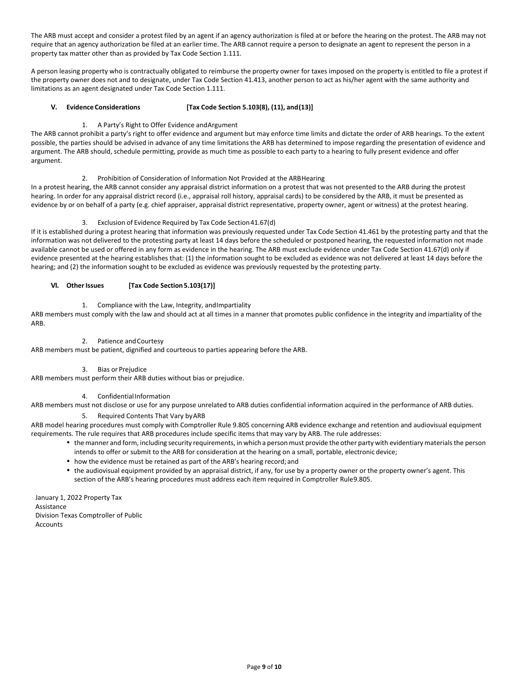The ARB must accept and consider a protest filed by an agent if an agency authorization is filed at or before the hearing on the protest. The ARB may not require that an agency authorization be filed at an earlier time. The ARB cannot require a person to designate an agent to represent the person in a property tax matter other than as provided by Tax Code Section 1.111.

A person leasing property who is contractually obligated to reimburse the property owner for taxes imposed on the property is entitled to file a protest if the property owner does not and to designate, under Tax Code Section 41.413, another person to act as his/her agent with the same authority and limitations as an agent designated under Tax Code Section 1.111.

#### **V. Evidence Considerations [Tax Code Section 5.103(8), (11), and(13)]**

1. A Party's Right to Offer Evidence andArgument

The ARB cannot prohibit a party's right to offer evidence and argument but may enforce time limits and dictate the order of ARB hearings. To the extent possible, the parties should be advised in advance of any time limitations the ARB has determined to impose regarding the presentation of evidence and argument. The ARB should, schedule permitting, provide as much time as possible to each party to a hearing to fully present evidence and offer argument.

2. Prohibition of Consideration of Information Not Provided at the ARBHearing

In a protest hearing, the ARB cannot consider any appraisal district information on a protest that was not presented to the ARB during the protest hearing. In order for any appraisal district record (i.e., appraisal roll history, appraisal cards) to be considered by the ARB, it must be presented as evidence by or on behalf of a party (e.g. chief appraiser, appraisal district representative, property owner, agent or witness) at the protest hearing.

## 3. Exclusion of Evidence Required by Tax Code Section 41.67(d)

If it is established during a protest hearing that information was previously requested under Tax Code Section 41.461 by the protesting party and that the information was not delivered to the protesting party at least 14 days before the scheduled or postponed hearing, the requested information not made available cannot be used or offered in any form as evidence in the hearing. The ARB must exclude evidence under Tax Code Section 41.67(d) only if evidence presented at the hearing establishes that: (1) the information sought to be excluded as evidence was not delivered at least 14 days before the hearing; and (2) the information sought to be excluded as evidence was previously requested by the protesting party.

#### **VI. Other Issues [Tax Code Section 5.103(17)]**

1. Compliance with the Law, Integrity, andImpartiality

ARB members must comply with the law and should act at all times in a manner that promotes public confidence in the integrity and impartiality of the ARB.

2. Patience and Courtesy

ARB members must be patient, dignified and courteous to parties appearing before the ARB.

3. Bias or Prejudice

ARB members must perform their ARB duties without bias or prejudice.

4. ConfidentialInformation

ARB members must not disclose or use for any purpose unrelated to ARB duties confidential information acquired in the performance of ARB duties.

5. Required Contents That Vary byARB

ARB model hearing procedures must comply with Comptroller Rule 9.805 concerning ARB evidence exchange and retention and audiovisual equipment requirements. The rule requires that ARB procedures include specific items that may vary by ARB. The rule addresses:

- the manner and form, including security requirements, in which a personmust provide the other party with evidentiary materials the person intends to offer or submit to the ARB for consideration at the hearing on a small, portable, electronic device;
- how the evidence must be retained as part of the ARB's hearing record; and
- the audiovisual equipment provided by an appraisal district, if any, for use by a property owner or the property owner's agent. This section of the ARB's hearing procedures must address each item required in Comptroller Rule 9.805.

January 1, 2022 Property Tax Assistance Division Texas Comptroller of Public Accounts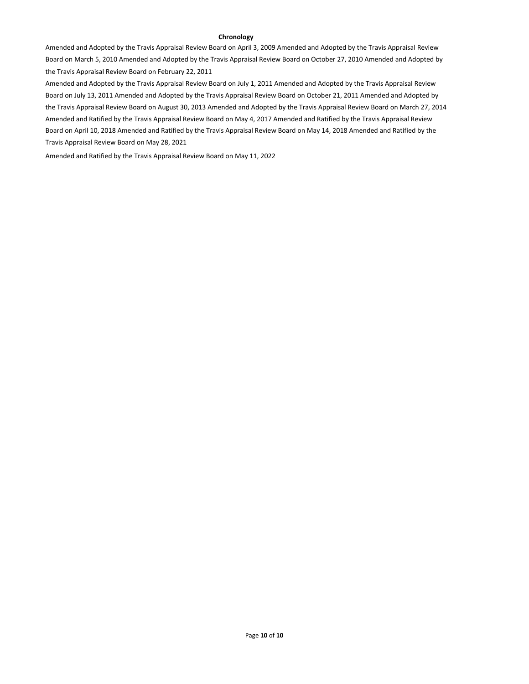## **Chronology**

Amended and Adopted by the Travis Appraisal Review Board on April 3, 2009 Amended and Adopted by the Travis Appraisal Review Board on March 5, 2010 Amended and Adopted by the Travis Appraisal Review Board on October 27, 2010 Amended and Adopted by the Travis Appraisal Review Board on February 22, 2011

Amended and Adopted by the Travis Appraisal Review Board on July 1, 2011 Amended and Adopted by the Travis Appraisal Review Board on July 13, 2011 Amended and Adopted by the Travis Appraisal Review Board on October 21, 2011 Amended and Adopted by the Travis Appraisal Review Board on August 30, 2013 Amended and Adopted by the Travis Appraisal Review Board on March 27, 2014 Amended and Ratified by the Travis Appraisal Review Board on May 4, 2017 Amended and Ratified by the Travis Appraisal Review Board on April 10, 2018 Amended and Ratified by the Travis Appraisal Review Board on May 14, 2018 Amended and Ratified by the Travis Appraisal Review Board on May 28, 2021

Amended and Ratified by the Travis Appraisal Review Board on May 11, 2022